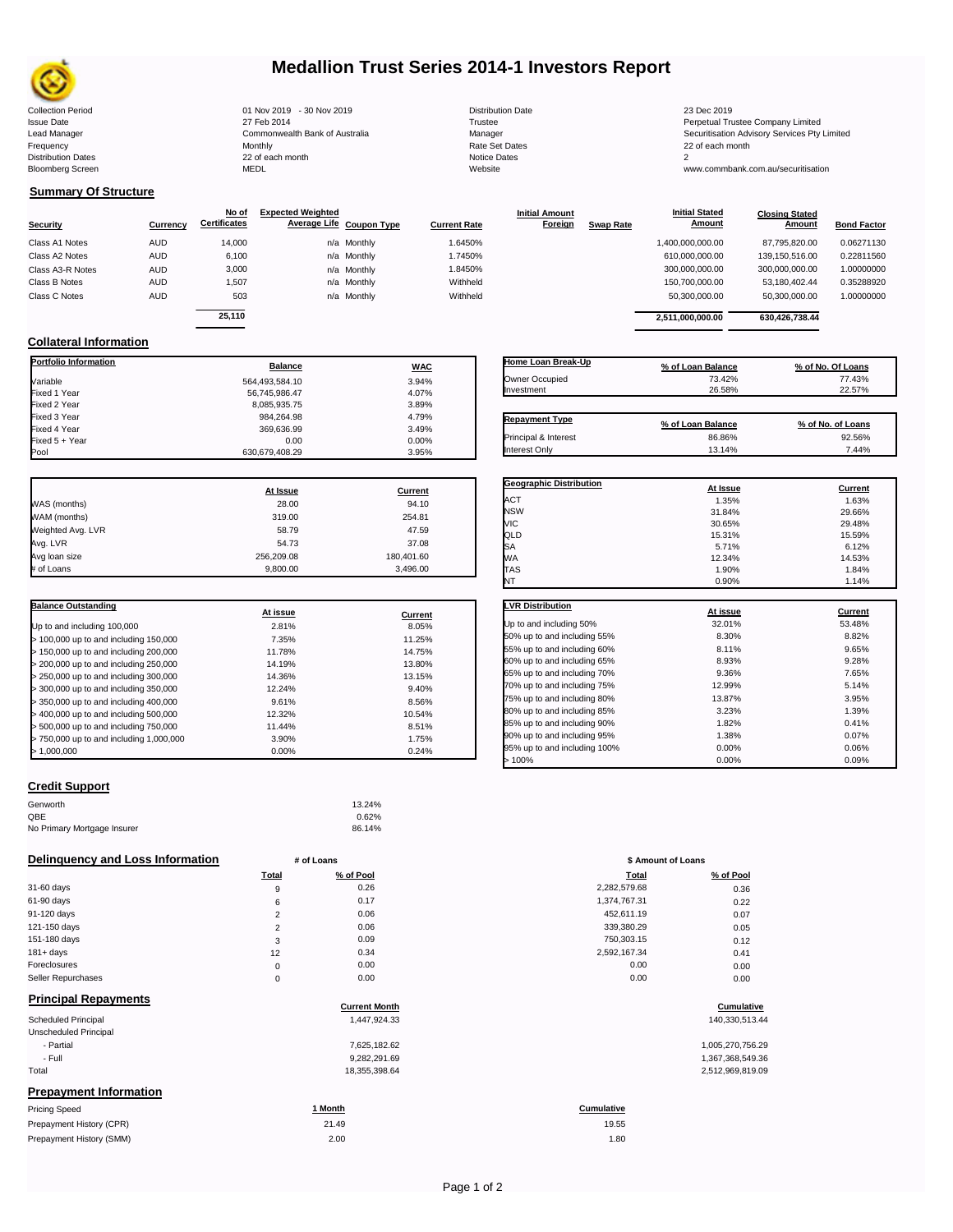

# **Medallion Trust Series 2014-1 Investors Report**

Collection Period 01 Nov 2019 - 30 Nov 2019 Distribution Date 23 Dec 2019 Issue Date 27 Feb 2014 Trustee Perpetual Trustee Company Limited Lead Manager **Commonwealth Bank of Australia** Manager Manager Securitisation Advisory Services Pty Limited Frequency Monthly Rate Set Dates 22 of each month Prequency results are the month of the Monthly Monthly and the Set Dates 22 of each month of the Set Dates 20 of each month of the Set Dates 20 of each month of the Set Dates 20 of each month of the Set Dates 20 of each mo Bloomberg Screen MEDL Website www.commbank.com.au/securitisation

| <b>Distribution Date</b> |
|--------------------------|
| Trustee                  |
| Manager                  |
| Rate Set Dates           |
| Notice Dates             |
| Website                  |
|                          |

**Initial Amount** 

**Closing Stated Amount**

### **Summary Of Structure**

**Collateral Information**

|                  |            | No of               | <b>Expected Weighted</b> |                     | <b>Initial Amount</b> |                  | <b>Initial Stated</b> | <b>Closing Stated</b> |                    |
|------------------|------------|---------------------|--------------------------|---------------------|-----------------------|------------------|-----------------------|-----------------------|--------------------|
| <b>Security</b>  | Currency   | <b>Certificates</b> | Average Life Coupon Type | <b>Current Rate</b> | Foreign               | <b>Swap Rate</b> | <b>Amount</b>         | Amount                | <b>Bond Factor</b> |
| Class A1 Notes   | <b>AUD</b> | 14,000              | n/a Monthly              | 1.6450%             |                       |                  | 1,400,000,000.00      | 87.795.820.00         | 0.06271130         |
| Class A2 Notes   | <b>AUD</b> | 6,100               | n/a Monthly              | 1.7450%             |                       |                  | 610,000,000.00        | 139.150.516.00        | 0.22811560         |
| Class A3-R Notes | <b>AUD</b> | 3,000               | n/a Monthly              | 1.8450%             |                       |                  | 300,000,000.00        | 300.000.000.00        | 1.00000000         |
| Class B Notes    | <b>AUD</b> | 1.507               | n/a Monthly              | Withheld            |                       |                  | 150.700.000.00        | 53.180.402.44         | 0.35288920         |
| Class C Notes    | <b>AUD</b> | 503                 | n/a Monthly              | Withheld            |                       |                  | 50,300,000.00         | 50,300,000.00         | 1.00000000         |
|                  |            | 25.110              |                          |                     |                       |                  | 2.511.000.000.00      | 630.426.738.44        |                    |
|                  |            |                     |                          |                     |                       |                  |                       |                       |                    |

**Portfolio Information Balance WAC** Variable 3.94% Fixed 1 Year 56,745,986.47 4.07% Fixed 2 Year 8,085,935.75 3.89% Fixed 3 Year 984,264.98 4.79%

Fixed 5 + Year 0.00 0.00%

630,679,408.29

| Home Loan Break-Up    | % of Loan Balance | % of No. Of Loans |
|-----------------------|-------------------|-------------------|
| Owner Occupied        | 73.42%            | 77.43%            |
| Investment            | 26.58%            | 22.57%            |
|                       |                   |                   |
| <b>Repayment Type</b> | % of Loan Balance | % of No. of Loans |
| Principal & Interest  | 86.86%            | 92.56%            |
| <b>Interest Only</b>  | 13.14%            | 7.44%             |

**Geographic Distribution**<br> **ACT ACT ACT ACT ACT ACT ACT ACT ACT ACT ACT ACT ACT ACT ACT ACT ACT ACT ACT ACT ACT** ACT 1.35% 1.63% NSW 31.84% 29.66%

**Initial Stated** 

|                   | At Issue   | Current    |
|-------------------|------------|------------|
| WAS (months)      | 28.00      | 94.10      |
| WAM (months)      | 319.00     | 254.81     |
| Weighted Avg. LVR | 58.79      | 47.59      |
| Avg. LVR          | 54.73      | 37.08      |
| Avg loan size     | 256,209.08 | 180,401.60 |
| # of Loans        | 9,800.00   | 3,496.00   |

Fixed 369,636.99 3.49% 3.49%

| <b>Balance Outstanding</b>              |          |         |
|-----------------------------------------|----------|---------|
|                                         | At issue | Current |
| Up to and including 100,000             | 2.81%    | 8.05%   |
| $>$ 100,000 up to and including 150,000 | 7.35%    | 11.25%  |
| > 150,000 up to and including 200,000   | 11.78%   | 14.75%  |
| > 200,000 up to and including 250,000   | 14.19%   | 13.80%  |
| > 250,000 up to and including 300,000   | 14.36%   | 13.15%  |
| > 300,000 up to and including 350,000   | 12.24%   | 9.40%   |
| > 350,000 up to and including 400,000   | 9.61%    | 8.56%   |
| $>$ 400,000 up to and including 500,000 | 12.32%   | 10.54%  |
| > 500,000 up to and including 750,000   | 11.44%   | 8.51%   |
| > 750,000 up to and including 1,000,000 | 3.90%    | 1.75%   |
| > 1.000.000                             | 0.00%    | 0.24%   |

## **Credit Support**

| Genworth                    | 13.24% |
|-----------------------------|--------|
| QBE                         | 0.62%  |
| No Primary Mortgage Insurer | 86.14% |

| Delinquency and Loss Information |       | # of Loans           | \$ Amount of Loans |                  |
|----------------------------------|-------|----------------------|--------------------|------------------|
|                                  | Total | % of Pool            | Total              | % of Pool        |
| 31-60 days                       | 9     | 0.26                 | 2,282,579.68       | 0.36             |
| 61-90 days                       | 6     | 0.17                 | 1,374,767.31       | 0.22             |
| 91-120 days                      | 2     | 0.06                 | 452,611.19         | 0.07             |
| 121-150 days                     | 2     | 0.06                 | 339,380.29         | 0.05             |
| 151-180 days                     | 3     | 0.09                 | 750,303.15         | 0.12             |
| $181 + days$                     | 12    | 0.34                 | 2,592,167.34       | 0.41             |
| Foreclosures                     | 0     | 0.00                 | 0.00               | 0.00             |
| Seller Repurchases               | 0     | 0.00                 | 0.00               | 0.00             |
| <b>Principal Repayments</b>      |       |                      |                    |                  |
|                                  |       | <b>Current Month</b> |                    | Cumulative       |
| <b>Scheduled Principal</b>       |       | 1,447,924.33         |                    | 140,330,513.44   |
| Unscheduled Principal            |       |                      |                    |                  |
| - Partial                        |       | 7,625,182.62         |                    | 1,005,270,756.29 |
| - Full                           |       | 9,282,291.69         |                    | 1,367,368,549.36 |
| Total                            |       | 18,355,398.64        |                    | 2,512,969,819.09 |
| <b>Prepayment Information</b>    |       |                      |                    |                  |
| <b>Pricing Speed</b>             |       | 1 Month              | Cumulative         |                  |
| Prepayment History (CPR)         |       | 21.49                | 19.55              |                  |
| Prepayment History (SMM)         |       | 2.00                 | 1.80               |                  |

| МC                           | 30.65%   | 29.48%         |
|------------------------------|----------|----------------|
| QLD                          | 15.31%   | 15.59%         |
| SA                           | 5.71%    | 6.12%          |
| WА                           | 12.34%   | 14.53%         |
| TAS                          | 1.90%    | 1.84%          |
| NT                           | 0.90%    | 1.14%          |
| <b>LVR Distribution</b>      |          |                |
|                              | At issue | <b>Current</b> |
| Up to and including 50%      | 32.01%   | 53.48%         |
| 50% up to and including 55%  | 8.30%    | 8.82%          |
| 55% up to and including 60%  | 8.11%    | 9.65%          |
| 60% up to and including 65%  | 8.93%    | 9.28%          |
| 65% up to and including 70%  | 9.36%    | 7.65%          |
| 70% up to and including 75%  | 12.99%   | 5.14%          |
| 75% up to and including 80%  | 13.87%   | 3.95%          |
| 80% up to and including 85%  | 3.23%    | 1.39%          |
| 85% up to and including 90%  | 1.82%    | 0.41%          |
| 90% up to and including 95%  | 1.38%    | 0.07%          |
| 95% up to and including 100% | 0.00%    | 0.06%          |
| >100%                        | 0.00%    | 0.09%          |

|                | # of Loans | \$ Amount of Loans |           |
|----------------|------------|--------------------|-----------|
| Total          | % of Pool  | Total              | % of Pool |
| 9              | 0.26       | 2,282,579.68       | 0.36      |
| 6              | 0.17       | 1,374,767.31       | 0.22      |
| $\overline{2}$ | 0.06       | 452,611.19         | 0.07      |
| $\overline{2}$ | 0.06       | 339,380.29         | 0.05      |
| 3              | 0.09       | 750,303.15         | 0.12      |
| 12             | 0.34       | 2,592,167.34       | 0.41      |
| $\mathbf 0$    | 0.00       | 0.00               | 0.00      |
| $\mathbf 0$    | 0.00       | 0.00               | 0.00      |
|                |            |                    |           |

## **Cumulative**